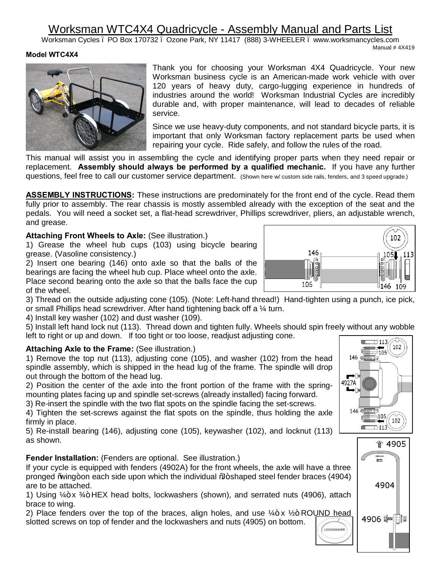# Worksman WTC4X4 Quadricycle - Assembly Manual and Parts List

Worksman Cycles – PO Box 170732 – Ozone Park, NY 11417 (888) 3-WHEELER – www.worksmancycles.com Manual # 4X419

#### **Model WTC4X4**



Thank you for choosing your Worksman 4X4 Quadricycle. Your new Worksman business cycle is an American-made work vehicle with over 120 years of heavy duty, cargo-lugging experience in hundreds of industries around the world! Worksman Industrial Cycles are incredibly durable and, with proper maintenance, will lead to decades of reliable service.

Since we use heavy-duty components, and not standard bicycle parts, it is important that only Worksman factory replacement parts be used when repairing your cycle. Ride safely, and follow the rules of the road.

This manual will assist you in assembling the cycle and identifying proper parts when they need repair or replacement. **Assembly should always be performed by a qualified mechanic.** If you have any further questions, feel free to call our customer service department. (Shown here w/ custom side rails, fenders, and 3 speed upgrade.)

**ASSEMBLY INSTRUCTIONS:** These instructions are predominately for the front end of the cycle. Read them fully prior to assembly. The rear chassis is mostly assembled already with the exception of the seat and the pedals. You will need a socket set, a flat-head screwdriver, Phillips screwdriver, pliers, an adjustable wrench, and grease.

### **Attaching Front Wheels to Axle:** (See illustration.)

1) Grease the wheel hub cups (103) using bicycle bearing grease. (Vasoline consistency.)

2) Insert one bearing (146) onto axle so that the balls of the bearings are facing the wheel hub cup. Place wheel onto the axle. Place second bearing onto the axle so that the balls face the cup of the wheel.



4) Install key washer (102) and dust washer (109).

5) Install left hand lock nut (113). Thread down and tighten fully. Wheels should spin freely without any wobble left to right or up and down. If too tight or too loose, readjust adjusting cone.

### **Attaching Axle to the Frame:** (See illustration.)

1) Remove the top nut (113), adjusting cone (105), and washer (102) from the head spindle assembly, which is shipped in the head lug of the frame. The spindle will drop out through the bottom of the head lug.

2) Position the center of the axle into the front portion of the frame with the springmounting plates facing up and spindle set-screws (already installed) facing forward.

3) Re-insert the spindle with the two flat spots on the spindle facing the set-screws.

4) Tighten the set-screws against the flat spots on the spindle, thus holding the axle firmly in place.

5) Re-install bearing (146), adjusting cone (105), keywasher (102), and locknut (113) as shown.

### **Fender Installation:** (Fenders are optional. See illustration.)

If your cycle is equipped with fenders (4902A) for the front wheels, the axle will have a three pronged "wing+on each side upon which the individual "I shaped steel fender braces (4904) are to be attached.

1) Using  $4 + x 34 + HEX$  head bolts, lockwashers (shown), and serrated nuts (4906), attach brace to wing.

2) Place fenders over the top of the braces, align holes, and use  $\frac{1}{4} + x \frac{1}{2} + \text{ROUND head}$ slotted screws on top of fender and the lockwashers and nuts (4905) on bottom.LOCKWASHER





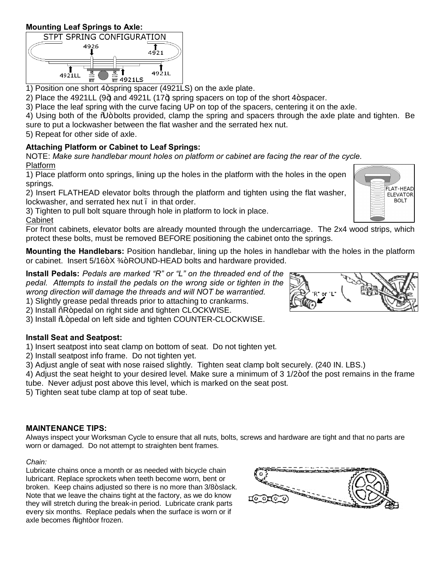## **Mounting Leaf Springs to Axle:**



1) Position one short 4+ spring spacer (4921LS) on the axle plate.

2) Place the 4921LL (9+) and 4921L (17+) spring spacers on top of the short 4+ spacer.

3) Place the leaf spring with the curve facing UP on top of the spacers, centering it on the axle.

4) Using both of the  $\frac{0}{4}$ +bolts provided, clamp the spring and spacers through the axle plate and tighten. Be sure to put a lockwasher between the flat washer and the serrated hex nut.

5) Repeat for other side of axle.

# **Attaching Platform or Cabinet to Leaf Springs:**

NOTE: *Make sure handlebar mount holes on platform or cabinet are facing the rear of the cycle.* Platform

1) Place platform onto springs, lining up the holes in the platform with the holes in the open springs.

2) Insert FLATHEAD elevator bolts through the platform and tighten using the flat washer, lockwasher, and serrated hex nut . in that order.

3) Tighten to pull bolt square through hole in platform to lock in place. Cabinet

For front cabinets, elevator bolts are already mounted through the undercarriage. The 2x4 wood strips, which protect these bolts, must be removed BEFORE positioning the cabinet onto the springs.

**Mounting the Handlebars:** Position handlebar, lining up the holes in handlebar with the holes in the platform or cabinet. Insert  $5/16 + X \frac{3}{4} + \text{ROUND-HEAD}$  bolts and hardware provided.

**Install Pedals:** *Pedals are marked "R" or "L" on the threaded end of the pedal. Attempts to install the pedals on the wrong side or tighten in the wrong direction will damage the threads and will NOT be warrantied.*

1) Slightly grease pedal threads prior to attaching to crankarms.

2) Install %R+pedal on right side and tighten CLOCKWISE.

3) Install  $\frac{q}{q}$  pedal on left side and tighten COUNTER-CLOCKWISE.

# **Install Seat and Seatpost:**

1) Insert seatpost into seat clamp on bottom of seat. Do not tighten yet.

2) Install seatpost info frame. Do not tighten yet.

3) Adjust angle of seat with nose raised slightly. Tighten seat clamp bolt securely. (240 IN. LBS.)

4) Adjust the seat height to your desired level. Make sure a minimum of 3 1/2+of the post remains in the frame tube. Never adjust post above this level, which is marked on the seat post.

5) Tighten seat tube clamp at top of seat tube.

### **MAINTENANCE TIPS:**

Always inspect your Worksman Cycle to ensure that all nuts, bolts, screws and hardware are tight and that no parts are worn or damaged. Do not attempt to straighten bent frames.

### *Chain:*

Lubricate chains once a month or as needed with bicycle chain lubricant. Replace sprockets when teeth become worn, bent or broken. Keep chains adjusted so there is no more than 3/8+slack. Note that we leave the chains tight at the factory, as we do know they will stretch during the break-in period. Lubricate crank parts every six months. Replace pedals when the surface is worn or if axle becomes %ight+or frozen.





FLAT-HEAD **ELEVATOR BOLT**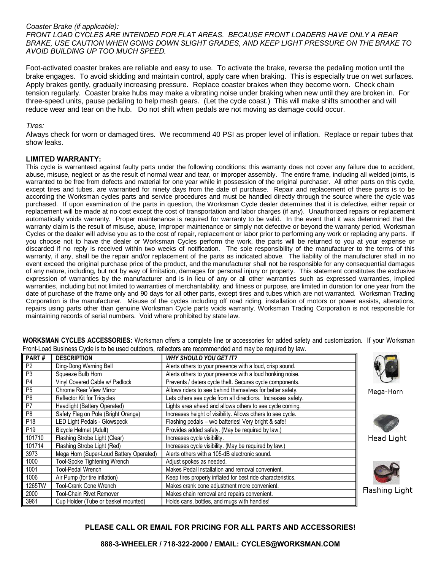#### *Coaster Brake (if applicable):*

*FRONT LOAD CYCLES ARE INTENDED FOR FLAT AREAS. BECAUSE FRONT LOADERS HAVE ONLY A REAR BRAKE, USE CAUTION WHEN GOING DOWN SLIGHT GRADES, AND KEEP LIGHT PRESSURE ON THE BRAKE TO AVOID BUILDING UP TOO MUCH SPEED.*

Foot-activated coaster brakes are reliable and easy to use. To activate the brake, reverse the pedaling motion until the brake engages. To avoid skidding and maintain control, apply care when braking. This is especially true on wet surfaces. Apply brakes gently, gradually increasing pressure. Replace coaster brakes when they become worn. Check chain tension regularly. Coaster brake hubs may make a vibrating noise under braking when new until they are broken in. For three-speed units, pause pedaling to help mesh gears. (Let the cycle coast.) This will make shifts smoother and will reduce wear and tear on the hub. Do not shift when pedals are not moving as damage could occur.

#### *Tires:*

Always check for worn or damaged tires. We recommend 40 PSI as proper level of inflation. Replace or repair tubes that show leaks.

#### **LIMITED WARRANTY:**

This cycle is warranteed against faulty parts under the following conditions: this warranty does not cover any failure due to accident, abuse, misuse, neglect or as the result of normal wear and tear, or improper assembly. The entire frame, including all welded joints, is warranted to be free from defects and material for one year while in possession of the original purchaser. All other parts on this cycle, except tires and tubes, are warrantied for ninety days from the date of purchase. Repair and replacement of these parts is to be according the Worksman cycles parts and service procedures and must be handled directly through the source where the cycle was purchased. If upon examination of the parts in question, the Worksman Cycle dealer determines that it is defective, either repair or replacement will be made at no cost except the cost of transportation and labor charges (if any). Unauthorized repairs or replacement automatically voids warranty. Proper maintenance is required for warranty to be valid. In the event that it was determined that the warranty claim is the result of misuse, abuse, improper maintenance or simply not defective or beyond the warranty period, Worksman Cycles or the dealer will advise you as to the cost of repair, replacement or labor prior to performing any work or replacing any parts. If you choose not to have the dealer or Worksman Cycles perform the work, the parts will be returned to you at your expense or discarded if no reply is received within two weeks of notification. The sole responsibility of the manufacturer to the terms of this warranty, if any, shall be the repair and/or replacement of the parts as indicated above. The liability of the manufacturer shall in no event exceed the original purchase price of the product, and the manufacturer shall not be responsible for any consequential damages of any nature, including, but not by way of limitation, damages for personal injury or property. This statement constitutes the exclusive expression of warranties by the manufacturer and is in lieu of any or all other warranties such as expressed warranties, implied warranties, including but not limited to warranties of merchantability, and fitness or purpose, are limited in duration for one year from the date of purchase of the frame only and 90 days for all other parts, except tires and tubes which are not warranted. Worksman Trading Corporation is the manufacturer. Misuse of the cycles including off road riding, installation of motors or power assists, alterations, repairs using parts other than genuine Worksman Cycle parts voids warranty. Worksman Trading Corporation is not responsible for maintaining records of serial numbers. Void where prohibited by state law.

| PART#           | <b>DESCRIPTION</b>                      | <b>WHY SHOULD YOU GET IT?</b>                                |              |
|-----------------|-----------------------------------------|--------------------------------------------------------------|--------------|
| P <sub>2</sub>  | Ding-Dong Warning Bell                  | Alerts others to your presence with a loud, crisp sound.     |              |
| P <sub>3</sub>  | Squeeze Bulb Horn                       | Alerts others to your presence with a loud honking noise.    |              |
| P <sub>4</sub>  | Vinyl Covered Cable w/ Padlock          | Prevents / deters cycle theft. Secures cycle components.     |              |
| P <sub>5</sub>  | <b>Chrome Rear View Mirror</b>          | Allows riders to see behind themselves for better safety.    | Mega-Horn    |
| P <sub>6</sub>  | Reflector Kit for Tricycles             | Lets others see cycle from all directions. Increases safety. |              |
| P <sub>7</sub>  | Headlight (Battery Operated)            | Lights area ahead and allows others to see cycle coming.     |              |
| P <sub>8</sub>  | Safety Flag on Pole (Bright Orange)     | Increases height of visibility. Allows others to see cycle.  |              |
| P <sub>18</sub> | <b>LED Light Pedals - Glowspeck</b>     | Flashing pedals - w/o batteries! Very bright & safe!         |              |
| P <sub>19</sub> | Bicycle Helmet (Adult)                  | Provides added safety. (May be required by law.)             |              |
| 101710          | Flashing Strobe Light (Clear)           | Increases cycle visibility.                                  | Head Ligh    |
| 101714          | Flashing Strobe Light (Red)             | Increases cycle visibility. (May be required by law.)        |              |
| 3973            | Mega Horn (Super-Loud Battery Operated) | Alerts others with a 105-dB electronic sound.                |              |
| 1000            | Tool-Spoke Tightening Wrench            | Adjust spokes as needed.                                     |              |
| 1001            | Tool-Pedal Wrench                       | Makes Pedal Installation and removal convenient.             |              |
| 1006            | Air Pump (for tire inflation)           | Keep tires properly inflated for best ride characteristics.  |              |
| 1265TW          | Tool-Crank Cone Wrench                  | Makes crank cone adjustment more convenient.                 |              |
| 2000            | Tool-Chain Rivet Remover                | Makes chain removal and repairs convenient.                  | Flashing Lic |
| 3961            | Cup Holder (Tube or basket mounted)     | Holds cans, bottles, and mugs with handles!                  |              |

**WORKSMAN CYCLES ACCESSORIES:** Worksman offers a complete line or accessories for added safety and customization. If your Worksman Front-Load Business Cycle is to be used outdoors, reflectors are recommended and may be required by law.

#### **PLEASE CALL OR EMAIL FOR PRICING FOR ALL PARTS AND ACCESSORIES!**

Light

g Light